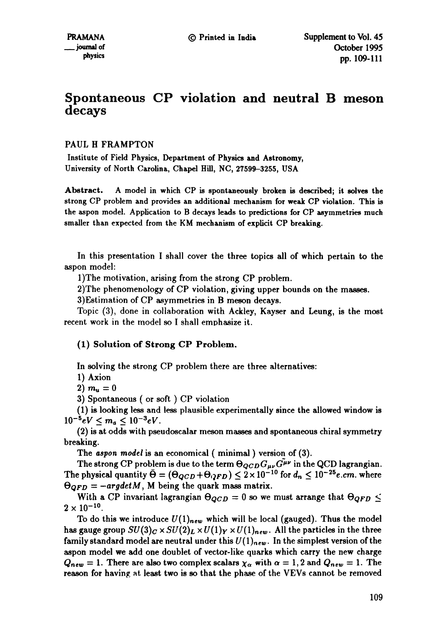# **Spontaneous CP violation and neutral B meson decays**

PAUL H FRAMPTON

Institute of Field Physics, Department of Physics and Astronomy, University of North Carolina, Chapel Hill, NC, 27599-3255, USA

Abstract. A model in which CP is spontaneously broken is described; it solves **the**  strong CP problem and provides an additional mechanism for weak CP violation. This is the aspon model. Application to B decays leads to predictions for CP asymmetries much smaller than expected from the KM mechanism of explicit CP breaking.

In this presentation I shall cover the three topics all of which pertain to the aspon model:

1)The motivation, arising from the strong CP problem.

2)The phenomenology of CP violation, giving upper bounds on the masses.

3)Estimation of CP asymmetries in B meson decays.

Topic (3), done in collaboration with Ackley, Kayser and Leung, is the most recent work in the model so I shall emphasize it.

### (1) Solution of Strong CP Problem.

In solving the strong CP problem there are three alternatives:

1) Axion

2)  $m_u = 0$ 

3) Spontaneous ( or soft ) CP violation

(1) is looking less and less plausible experimentally since the allowed window is  $10^{-5}eV \leq m_a \leq 10^{-3}eV$ .

(2) is at odds with pseudoscalar meson masses and spontaneous chiral symmetry breaking.

The *aspon model* is an economical ( minimal ) version of (3).

The strong CP problem is due to the term  $\Theta_{QCD} G_{\mu\nu} \tilde{G}^{\mu\nu}$  in the QCD lagrangian. The physical quantity  $\bar{\Theta} = (\Theta_{QCD} + \Theta_{QFD}) \leq 2 \times 10^{-10}$  for  $d_n \leq 10^{-25}e.cm$ . where  $\Theta_{QFD} = -argdet M$ , M being the quark mass matrix.

With a CP invariant lagrangian  $\Theta_{QCD} = 0$  so we must arrange that  $\Theta_{QFD} \leq$  $2 \times 10^{-10}$ .

To do this we introduce  $U(1)_{new}$  which will be local (gauged). Thus the model has gauge group  $SU(3)_C \times SU(2)_L \times U(1)_Y \times U(1)_{new}$ . All the particles in the three family standard model are neutral under this  $U(1)_{new}$ . In the simplest version of the aspon model we add one doublet of vector-like quarks which carry the new charge  $Q_{new} = 1$ . There are also two complex scalars  $\chi_{\alpha}$  with  $\alpha = 1,2$  and  $Q_{new} = 1$ . The reason for having at least two is so that the phase of the VEVs cannot be removed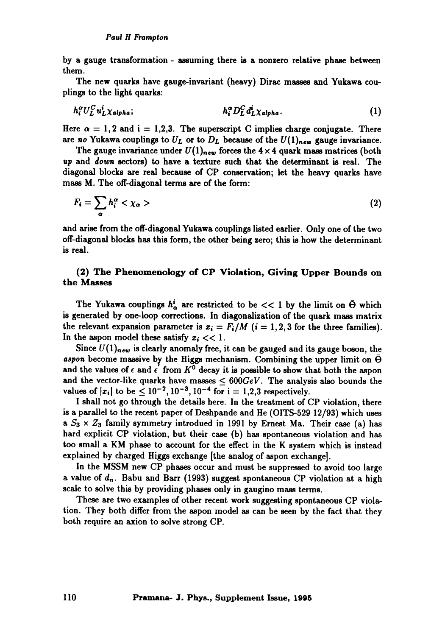by a gauge transformation - assuming there is a nonzero relative phase between them.

The new quarks have gange-invariant (heavy) Dirac masses and Yukawa couplings to the light quarks:

$$
h_i^{\alpha} U_L^C u_L^i \chi_{\alpha l p h a}; \qquad h_i^{\alpha} D_L^C d_L^i \chi_{\alpha l p h a}.
$$
 (1)

Here  $\alpha = 1, 2$  and  $i = 1, 2, 3$ . The superscript C implies charge conjugate. There are *no* Yukawa couplings to  $U_L$  or to  $D_L$  because of the  $U(1)_{new}$  gauge invariance.

The gauge invariance under  $U(1)_{new}$  forces the  $4 \times 4$  quark mass matrices (both up and *down* sectors) to have a texture such that the determinant is real. The diagonal blocks are real because of CP conservation; let the heavy quarks have mass M. The off-diagonal terms are of the form:

$$
F_i = \sum_{\alpha} h_i^{\alpha} < \chi_{\alpha} \tag{2}
$$

and arise from the off-diagonal Yukawa couplings listed earlier. Only one of the two off-diagonal blocks has this form, the other being zero; this is how the determinant is real.

## (2) The Phenomenology of CP Violation, Giving Upper Bounds on the Masses

The Yukawa couplings  $h_{\alpha}^{i}$  are restricted to be  $<< 1$  by the limit on  $\bar{\Theta}$  which is generated by one-loop corrections. In diagonalization of the quark mass matrix the relevant expansion parameter is  $x_i = F_i/M$  (i = 1, 2, 3 for the three families). In the aspon model these satisfy  $x_i \ll 1$ .

Since  $U(1)_{new}$  is clearly anomaly free, it can be gauged and its gauge boson, the aspon become massive by the Higgs mechanism. Combining the upper limit on  $\overline{\Theta}$ and the values of  $\epsilon$  and  $\epsilon'$  from  $K^0$  decay it is possible to show that both the aspon and the vector-like quarks have masses  $\leq 600 GeV$ . The analysis also bounds the values of  $|x_i|$  to be  $\leq 10^{-2}$ ,  $10^{-3}$ ,  $10^{-4}$  for  $i = 1, 2, 3$  respectively.

I shall not go through the details here. In the treatment of CP violation, there is a parallel to the recent paper of Deshpande and He (OITS-529 12/93) which uses a  $S_3 \times Z_3$  family symmetry introdued in 1991 by Ernest Ma. Their case (a) has hard explicit CP violation, but their case (b) has spontaneous violation and has too small a KM phase to account for the effect in the K system which is instead explained by charged Higgs exchange [the analog of aspon exchange].

In the MSSM new CP phases occur and must be suppressed to avoid too large a value of  $d_n$ . Babu and Barr (1993) suggest spontaneous CP violation at a high scale to solve this by providing phases only in gangino mass terms.

These are two examples of other recent work suggesting spontaneous CP violation. They both differ from the aspon model as can be seen by the fact that they both require an axion to solve strong CP.